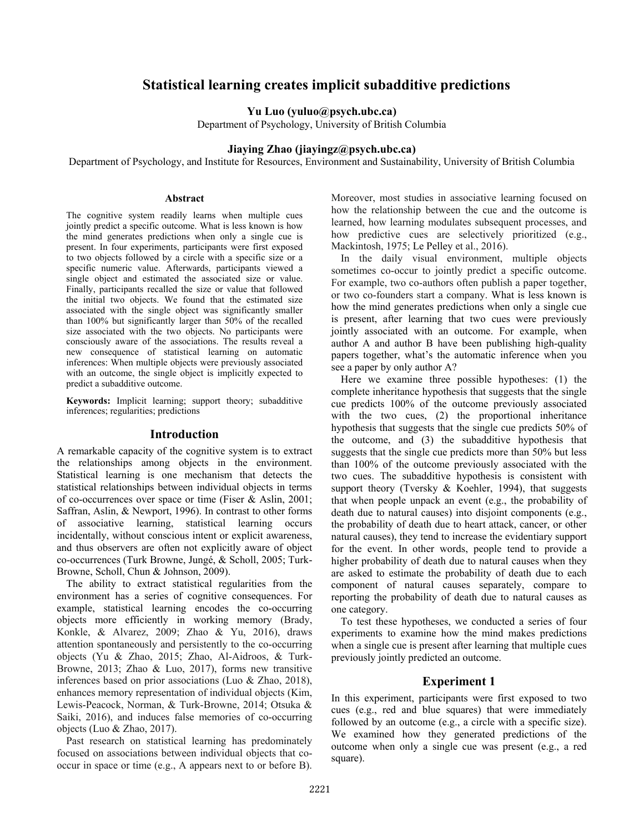# **Statistical learning creates implicit subadditive predictions**

**Yu Luo (yuluo@psych.ubc.ca)**

Department of Psychology, University of British Columbia

# **Jiaying Zhao (jiayingz@psych.ubc.ca)**

Department of Psychology, and Institute for Resources, Environment and Sustainability, University of British Columbia

#### **Abstract**

The cognitive system readily learns when multiple cues jointly predict a specific outcome. What is less known is how the mind generates predictions when only a single cue is present. In four experiments, participants were first exposed to two objects followed by a circle with a specific size or a specific numeric value. Afterwards, participants viewed a single object and estimated the associated size or value. Finally, participants recalled the size or value that followed the initial two objects. We found that the estimated size associated with the single object was significantly smaller than 100% but significantly larger than 50% of the recalled size associated with the two objects. No participants were consciously aware of the associations. The results reveal a new consequence of statistical learning on automatic inferences: When multiple objects were previously associated with an outcome, the single object is implicitly expected to predict a subadditive outcome.

**Keywords:** Implicit learning; support theory; subadditive inferences; regularities; predictions

#### **Introduction**

A remarkable capacity of the cognitive system is to extract the relationships among objects in the environment. Statistical learning is one mechanism that detects the statistical relationships between individual objects in terms of co-occurrences over space or time (Fiser & Aslin, 2001; Saffran, Aslin, & Newport, 1996). In contrast to other forms of associative learning, statistical learning occurs incidentally, without conscious intent or explicit awareness, and thus observers are often not explicitly aware of object co-occurrences (Turk Browne, Jungé, & Scholl, 2005; Turk-Browne, Scholl, Chun & Johnson, 2009).

The ability to extract statistical regularities from the environment has a series of cognitive consequences. For example, statistical learning encodes the co-occurring objects more efficiently in working memory (Brady, Konkle, & Alvarez, 2009; Zhao & Yu, 2016), draws attention spontaneously and persistently to the co-occurring objects (Yu & Zhao, 2015; Zhao, Al-Aidroos, & Turk-Browne, 2013; Zhao & Luo, 2017), forms new transitive inferences based on prior associations (Luo & Zhao, 2018), enhances memory representation of individual objects (Kim, Lewis-Peacock, Norman, & Turk-Browne, 2014; Otsuka & Saiki, 2016), and induces false memories of co-occurring objects (Luo & Zhao, 2017).

Past research on statistical learning has predominately focused on associations between individual objects that cooccur in space or time (e.g., A appears next to or before B). Moreover, most studies in associative learning focused on how the relationship between the cue and the outcome is learned, how learning modulates subsequent processes, and how predictive cues are selectively prioritized (e.g., Mackintosh, 1975; Le Pelley et al., 2016).

In the daily visual environment, multiple objects sometimes co-occur to jointly predict a specific outcome. For example, two co-authors often publish a paper together, or two co-founders start a company. What is less known is how the mind generates predictions when only a single cue is present, after learning that two cues were previously jointly associated with an outcome. For example, when author A and author B have been publishing high-quality papers together, what's the automatic inference when you see a paper by only author A?

Here we examine three possible hypotheses: (1) the complete inheritance hypothesis that suggests that the single cue predicts 100% of the outcome previously associated with the two cues, (2) the proportional inheritance hypothesis that suggests that the single cue predicts 50% of the outcome, and (3) the subadditive hypothesis that suggests that the single cue predicts more than 50% but less than 100% of the outcome previously associated with the two cues. The subadditive hypothesis is consistent with support theory (Tversky & Koehler, 1994), that suggests that when people unpack an event (e.g., the probability of death due to natural causes) into disjoint components (e.g., the probability of death due to heart attack, cancer, or other natural causes), they tend to increase the evidentiary support for the event. In other words, people tend to provide a higher probability of death due to natural causes when they are asked to estimate the probability of death due to each component of natural causes separately, compare to reporting the probability of death due to natural causes as one category.

To test these hypotheses, we conducted a series of four experiments to examine how the mind makes predictions when a single cue is present after learning that multiple cues previously jointly predicted an outcome.

## **Experiment 1**

In this experiment, participants were first exposed to two cues (e.g., red and blue squares) that were immediately followed by an outcome (e.g., a circle with a specific size). We examined how they generated predictions of the outcome when only a single cue was present (e.g., a red square).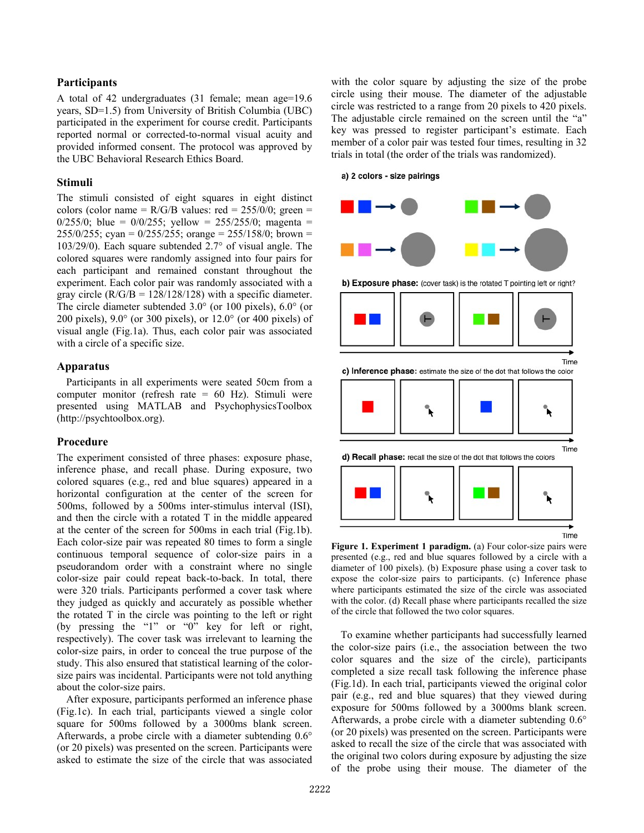# **Participants**

A total of 42 undergraduates (31 female; mean age=19.6 years, SD=1.5) from University of British Columbia (UBC) participated in the experiment for course credit. Participants reported normal or corrected-to-normal visual acuity and provided informed consent. The protocol was approved by the UBC Behavioral Research Ethics Board.

# **Stimuli**

The stimuli consisted of eight squares in eight distinct colors (color name =  $R/G/B$  values: red = 255/0/0; green =  $0/255/0$ ; blue =  $0/0/255$ ; yellow = 255/255/0; magenta = 255/0/255; cyan =  $0/255/255$ ; orange = 255/158/0; brown = 103/29/0). Each square subtended 2.7° of visual angle. The colored squares were randomly assigned into four pairs for each participant and remained constant throughout the experiment. Each color pair was randomly associated with a gray circle  $(R/G/B = 128/128/128)$  with a specific diameter. The circle diameter subtended 3.0° (or 100 pixels), 6.0° (or 200 pixels), 9.0° (or 300 pixels), or 12.0° (or 400 pixels) of visual angle (Fig.1a). Thus, each color pair was associated with a circle of a specific size.

# **Apparatus**

Participants in all experiments were seated 50cm from a computer monitor (refresh rate  $= 60$  Hz). Stimuli were presented using MATLAB and PsychophysicsToolbox (http://psychtoolbox.org).

#### **Procedure**

The experiment consisted of three phases: exposure phase, inference phase, and recall phase. During exposure, two colored squares (e.g., red and blue squares) appeared in a horizontal configuration at the center of the screen for 500ms, followed by a 500ms inter-stimulus interval (ISI), and then the circle with a rotated T in the middle appeared at the center of the screen for 500ms in each trial (Fig.1b). Each color-size pair was repeated 80 times to form a single continuous temporal sequence of color-size pairs in a pseudorandom order with a constraint where no single color-size pair could repeat back-to-back. In total, there were 320 trials. Participants performed a cover task where they judged as quickly and accurately as possible whether the rotated T in the circle was pointing to the left or right (by pressing the "1" or "0" key for left or right, respectively). The cover task was irrelevant to learning the color-size pairs, in order to conceal the true purpose of the study. This also ensured that statistical learning of the colorsize pairs was incidental. Participants were not told anything about the color-size pairs.

After exposure, participants performed an inference phase (Fig.1c). In each trial, participants viewed a single color square for 500ms followed by a 3000ms blank screen. Afterwards, a probe circle with a diameter subtending 0.6° (or 20 pixels) was presented on the screen. Participants were asked to estimate the size of the circle that was associated with the color square by adjusting the size of the probe circle using their mouse. The diameter of the adjustable circle was restricted to a range from 20 pixels to 420 pixels. The adjustable circle remained on the screen until the "a" key was pressed to register participant's estimate. Each member of a color pair was tested four times, resulting in 32 trials in total (the order of the trials was randomized).

#### a) 2 colors - size pairings



b) Exposure phase: (cover task) is the rotated T pointing left or right?



Time





d) Recall phase: recall the size of the dot that follows the colors



**Figure 1. Experiment 1 paradigm.** (a) Four color-size pairs were presented (e.g., red and blue squares followed by a circle with a diameter of 100 pixels). (b) Exposure phase using a cover task to expose the color-size pairs to participants. (c) Inference phase where participants estimated the size of the circle was associated with the color. (d) Recall phase where participants recalled the size of the circle that followed the two color squares.

To examine whether participants had successfully learned the color-size pairs (i.e., the association between the two color squares and the size of the circle), participants completed a size recall task following the inference phase (Fig.1d). In each trial, participants viewed the original color pair (e.g., red and blue squares) that they viewed during exposure for 500ms followed by a 3000ms blank screen. Afterwards, a probe circle with a diameter subtending 0.6° (or 20 pixels) was presented on the screen. Participants were asked to recall the size of the circle that was associated with the original two colors during exposure by adjusting the size of the probe using their mouse. The diameter of the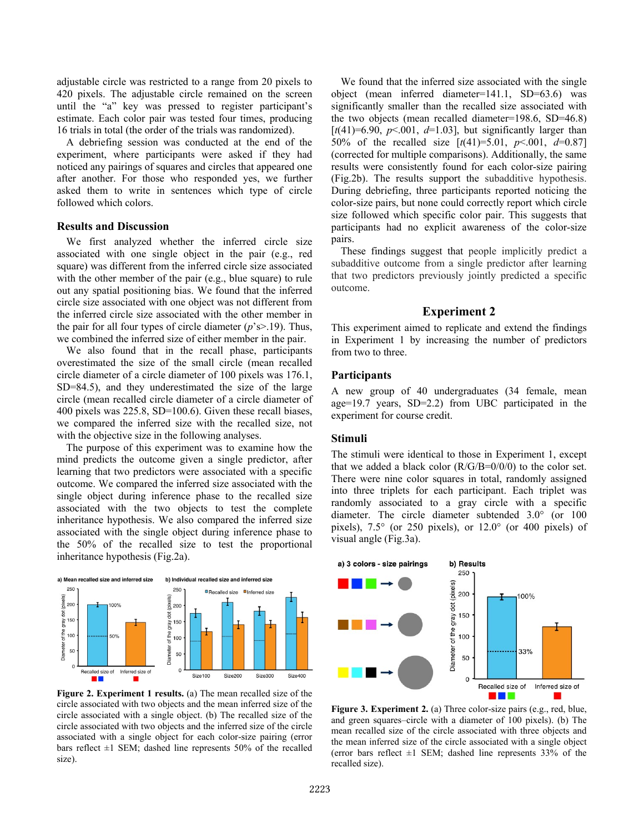adjustable circle was restricted to a range from 20 pixels to 420 pixels. The adjustable circle remained on the screen until the "a" key was pressed to register participant's estimate. Each color pair was tested four times, producing 16 trials in total (the order of the trials was randomized).

A debriefing session was conducted at the end of the experiment, where participants were asked if they had noticed any pairings of squares and circles that appeared one after another. For those who responded yes, we further asked them to write in sentences which type of circle followed which colors.

#### **Results and Discussion**

We first analyzed whether the inferred circle size associated with one single object in the pair (e.g., red square) was different from the inferred circle size associated with the other member of the pair (e.g., blue square) to rule out any spatial positioning bias. We found that the inferred circle size associated with one object was not different from the inferred circle size associated with the other member in the pair for all four types of circle diameter  $(p's>19)$ . Thus, we combined the inferred size of either member in the pair.

We also found that in the recall phase, participants overestimated the size of the small circle (mean recalled circle diameter of a circle diameter of 100 pixels was 176.1, SD=84.5), and they underestimated the size of the large circle (mean recalled circle diameter of a circle diameter of 400 pixels was 225.8, SD=100.6). Given these recall biases, we compared the inferred size with the recalled size, not with the objective size in the following analyses.

The purpose of this experiment was to examine how the mind predicts the outcome given a single predictor, after learning that two predictors were associated with a specific outcome. We compared the inferred size associated with the single object during inference phase to the recalled size associated with the two objects to test the complete inheritance hypothesis. We also compared the inferred size associated with the single object during inference phase to the 50% of the recalled size to test the proportional inheritance hypothesis (Fig.2a).



**Figure 2. Experiment 1 results.** (a) The mean recalled size of the circle associated with two objects and the mean inferred size of the circle associated with a single object. (b) The recalled size of the circle associated with two objects and the inferred size of the circle associated with a single object for each color-size pairing (error bars reflect  $\pm 1$  SEM; dashed line represents 50% of the recalled size).

We found that the inferred size associated with the single object (mean inferred diameter=141.1, SD=63.6) was significantly smaller than the recalled size associated with the two objects (mean recalled diameter=198.6, SD=46.8)  $[t(41)=6.90, p<.001, d=1.03]$ , but significantly larger than 50% of the recalled size [*t*(41)=5.01, *p*<.001, *d*=0.87] (corrected for multiple comparisons). Additionally, the same results were consistently found for each color-size pairing (Fig.2b). The results support the subadditive hypothesis. During debriefing, three participants reported noticing the color-size pairs, but none could correctly report which circle size followed which specific color pair. This suggests that participants had no explicit awareness of the color-size pairs.

These findings suggest that people implicitly predict a subadditive outcome from a single predictor after learning that two predictors previously jointly predicted a specific outcome.

# **Experiment 2**

This experiment aimed to replicate and extend the findings in Experiment 1 by increasing the number of predictors from two to three.

# **Participants**

A new group of 40 undergraduates (34 female, mean age=19.7 years, SD=2.2) from UBC participated in the experiment for course credit.

# **Stimuli**

The stimuli were identical to those in Experiment 1, except that we added a black color (R/G/B=0/0/0) to the color set. There were nine color squares in total, randomly assigned into three triplets for each participant. Each triplet was randomly associated to a gray circle with a specific diameter. The circle diameter subtended 3.0° (or 100 pixels), 7.5° (or 250 pixels), or 12.0° (or 400 pixels) of visual angle (Fig.3a).



**Figure 3. Experiment 2.** (a) Three color-size pairs (e.g., red, blue, and green squares–circle with a diameter of 100 pixels). (b) The mean recalled size of the circle associated with three objects and the mean inferred size of the circle associated with a single object (error bars reflect  $\pm 1$  SEM; dashed line represents 33% of the recalled size).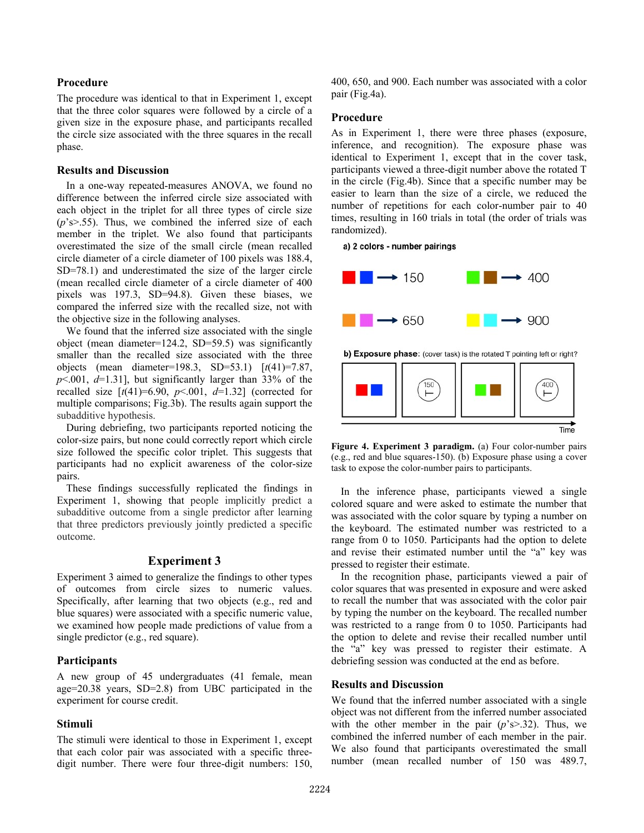# **Procedure**

The procedure was identical to that in Experiment 1, except that the three color squares were followed by a circle of a given size in the exposure phase, and participants recalled the circle size associated with the three squares in the recall phase.

#### **Results and Discussion**

In a one-way repeated-measures ANOVA, we found no difference between the inferred circle size associated with each object in the triplet for all three types of circle size (*p*'s>.55). Thus, we combined the inferred size of each member in the triplet. We also found that participants overestimated the size of the small circle (mean recalled circle diameter of a circle diameter of 100 pixels was 188.4, SD=78.1) and underestimated the size of the larger circle (mean recalled circle diameter of a circle diameter of 400 pixels was 197.3, SD=94.8). Given these biases, we compared the inferred size with the recalled size, not with the objective size in the following analyses.

We found that the inferred size associated with the single object (mean diameter=124.2, SD=59.5) was significantly smaller than the recalled size associated with the three objects (mean diameter=198.3, SD=53.1) [*t*(41)=7.87,  $p<.001$ ,  $d=1.31$ ], but significantly larger than  $33\%$  of the recalled size  $[t(41)=6.90, p<.001, d=1.32]$  (corrected for multiple comparisons; Fig.3b). The results again support the subadditive hypothesis.

During debriefing, two participants reported noticing the color-size pairs, but none could correctly report which circle size followed the specific color triplet. This suggests that participants had no explicit awareness of the color-size pairs.

These findings successfully replicated the findings in Experiment 1, showing that people implicitly predict a subadditive outcome from a single predictor after learning that three predictors previously jointly predicted a specific outcome.

# **Experiment 3**

Experiment 3 aimed to generalize the findings to other types of outcomes from circle sizes to numeric values. Specifically, after learning that two objects (e.g., red and blue squares) were associated with a specific numeric value, we examined how people made predictions of value from a single predictor (e.g., red square).

# **Participants**

A new group of 45 undergraduates (41 female, mean age=20.38 years, SD=2.8) from UBC participated in the experiment for course credit.

# **Stimuli**

The stimuli were identical to those in Experiment 1, except that each color pair was associated with a specific threedigit number. There were four three-digit numbers: 150, 400, 650, and 900. Each number was associated with a color pair (Fig.4a).

# **Procedure**

As in Experiment 1, there were three phases (exposure, inference, and recognition). The exposure phase was identical to Experiment 1, except that in the cover task, participants viewed a three-digit number above the rotated T in the circle (Fig.4b). Since that a specific number may be easier to learn than the size of a circle, we reduced the number of repetitions for each color-number pair to 40 times, resulting in 160 trials in total (the order of trials was randomized).

#### a) 2 colors - number pairings



b) Exposure phase: (cover task) is the rotated T pointing left or right?



**Figure 4. Experiment 3 paradigm.** (a) Four color-number pairs (e.g., red and blue squares-150). (b) Exposure phase using a cover task to expose the color-number pairs to participants.

In the inference phase, participants viewed a single colored square and were asked to estimate the number that was associated with the color square by typing a number on the keyboard. The estimated number was restricted to a range from 0 to 1050. Participants had the option to delete and revise their estimated number until the "a" key was pressed to register their estimate.

In the recognition phase, participants viewed a pair of color squares that was presented in exposure and were asked to recall the number that was associated with the color pair by typing the number on the keyboard. The recalled number was restricted to a range from 0 to 1050. Participants had the option to delete and revise their recalled number until the "a" key was pressed to register their estimate. A debriefing session was conducted at the end as before.

#### **Results and Discussion**

We found that the inferred number associated with a single object was not different from the inferred number associated with the other member in the pair  $(p's > .32)$ . Thus, we combined the inferred number of each member in the pair. We also found that participants overestimated the small number (mean recalled number of 150 was 489.7,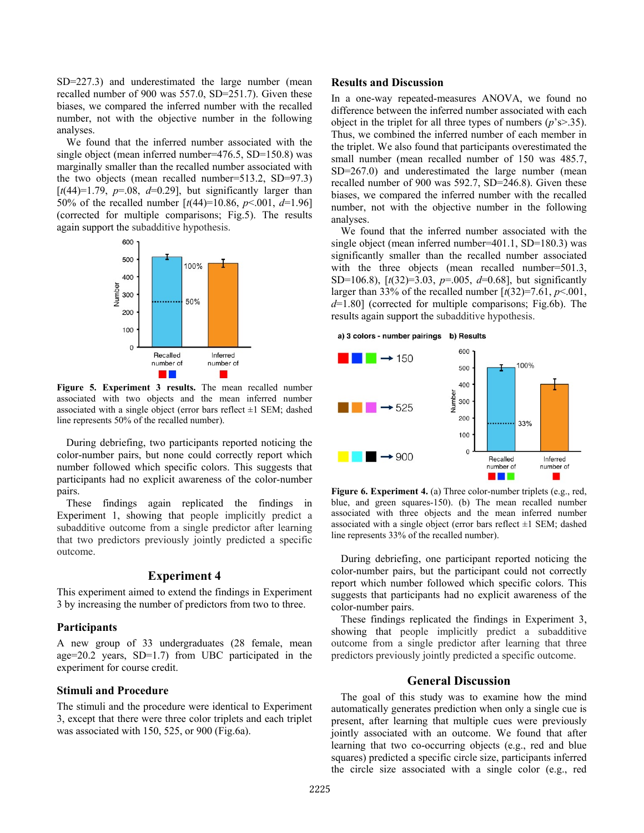SD=227.3) and underestimated the large number (mean recalled number of 900 was 557.0, SD=251.7). Given these biases, we compared the inferred number with the recalled number, not with the objective number in the following analyses.

We found that the inferred number associated with the single object (mean inferred number=476.5, SD=150.8) was marginally smaller than the recalled number associated with the two objects (mean recalled number=513.2, SD=97.3)  $[t(44)=1.79, p=.08, d=0.29]$ , but significantly larger than 50% of the recalled number [*t*(44)=10.86, *p*<.001, *d*=1.96] (corrected for multiple comparisons; Fig.5). The results again support the subadditive hypothesis.



**Figure 5. Experiment 3 results.** The mean recalled number associated with two objects and the mean inferred number associated with a single object (error bars reflect  $\pm 1$  SEM; dashed line represents 50% of the recalled number).

During debriefing, two participants reported noticing the color-number pairs, but none could correctly report which number followed which specific colors. This suggests that participants had no explicit awareness of the color-number pairs.

These findings again replicated the findings in Experiment 1, showing that people implicitly predict a subadditive outcome from a single predictor after learning that two predictors previously jointly predicted a specific outcome.

# **Experiment 4**

This experiment aimed to extend the findings in Experiment 3 by increasing the number of predictors from two to three.

#### **Participants**

A new group of 33 undergraduates (28 female, mean age=20.2 years,  $SD=1.7$ ) from UBC participated in the experiment for course credit.

#### **Stimuli and Procedure**

The stimuli and the procedure were identical to Experiment 3, except that there were three color triplets and each triplet was associated with 150, 525, or 900 (Fig.6a).

#### **Results and Discussion**

In a one-way repeated-measures ANOVA, we found no difference between the inferred number associated with each object in the triplet for all three types of numbers (*p*'s>.35). Thus, we combined the inferred number of each member in the triplet. We also found that participants overestimated the small number (mean recalled number of 150 was 485.7, SD=267.0) and underestimated the large number (mean recalled number of 900 was 592.7, SD=246.8). Given these biases, we compared the inferred number with the recalled number, not with the objective number in the following analyses.

We found that the inferred number associated with the single object (mean inferred number=401.1, SD=180.3) was significantly smaller than the recalled number associated with the three objects (mean recalled number=501.3, SD=106.8), [*t*(32)=3.03, *p*=.005, *d*=0.68], but significantly larger than 33% of the recalled number  $\lceil t(32)=7.61, p<.001$ , *d*=1.80] (corrected for multiple comparisons; Fig.6b). The results again support the subadditive hypothesis.



**Figure 6. Experiment 4.** (a) Three color-number triplets (e.g., red, blue, and green squares-150). (b) The mean recalled number associated with three objects and the mean inferred number associated with a single object (error bars reflect  $\pm 1$  SEM; dashed line represents 33% of the recalled number).

During debriefing, one participant reported noticing the color-number pairs, but the participant could not correctly report which number followed which specific colors. This suggests that participants had no explicit awareness of the color-number pairs.

These findings replicated the findings in Experiment 3, showing that people implicitly predict a subadditive outcome from a single predictor after learning that three predictors previously jointly predicted a specific outcome.

#### **General Discussion**

The goal of this study was to examine how the mind automatically generates prediction when only a single cue is present, after learning that multiple cues were previously jointly associated with an outcome. We found that after learning that two co-occurring objects (e.g., red and blue squares) predicted a specific circle size, participants inferred the circle size associated with a single color (e.g., red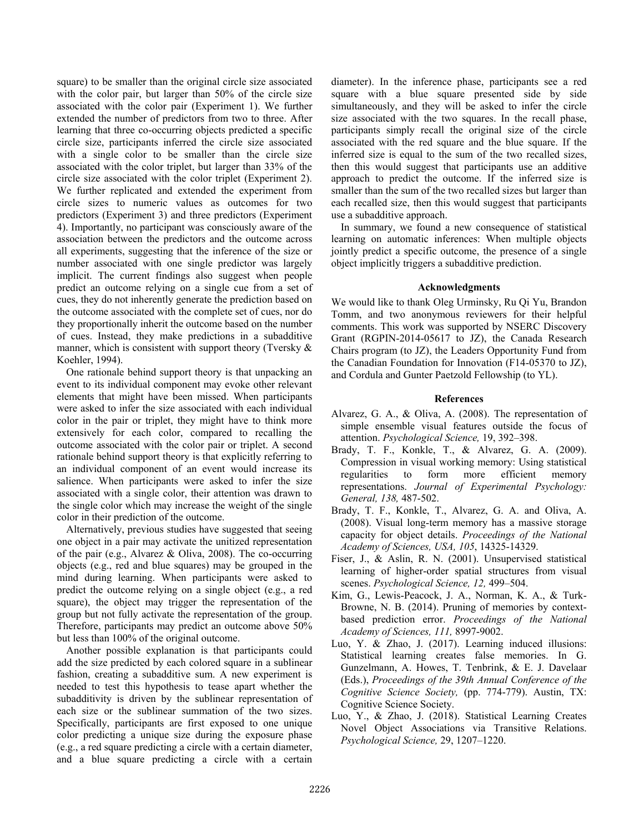square) to be smaller than the original circle size associated with the color pair, but larger than 50% of the circle size associated with the color pair (Experiment 1). We further extended the number of predictors from two to three. After learning that three co-occurring objects predicted a specific circle size, participants inferred the circle size associated with a single color to be smaller than the circle size associated with the color triplet, but larger than 33% of the circle size associated with the color triplet (Experiment 2). We further replicated and extended the experiment from circle sizes to numeric values as outcomes for two predictors (Experiment 3) and three predictors (Experiment 4). Importantly, no participant was consciously aware of the association between the predictors and the outcome across all experiments, suggesting that the inference of the size or number associated with one single predictor was largely implicit. The current findings also suggest when people predict an outcome relying on a single cue from a set of cues, they do not inherently generate the prediction based on the outcome associated with the complete set of cues, nor do they proportionally inherit the outcome based on the number of cues. Instead, they make predictions in a subadditive manner, which is consistent with support theory (Tversky  $\&$ Koehler, 1994).

One rationale behind support theory is that unpacking an event to its individual component may evoke other relevant elements that might have been missed. When participants were asked to infer the size associated with each individual color in the pair or triplet, they might have to think more extensively for each color, compared to recalling the outcome associated with the color pair or triplet. A second rationale behind support theory is that explicitly referring to an individual component of an event would increase its salience. When participants were asked to infer the size associated with a single color, their attention was drawn to the single color which may increase the weight of the single color in their prediction of the outcome.

Alternatively, previous studies have suggested that seeing one object in a pair may activate the unitized representation of the pair (e.g., Alvarez & Oliva, 2008). The co-occurring objects (e.g., red and blue squares) may be grouped in the mind during learning. When participants were asked to predict the outcome relying on a single object (e.g., a red square), the object may trigger the representation of the group but not fully activate the representation of the group. Therefore, participants may predict an outcome above 50% but less than 100% of the original outcome.

Another possible explanation is that participants could add the size predicted by each colored square in a sublinear fashion, creating a subadditive sum. A new experiment is needed to test this hypothesis to tease apart whether the subadditivity is driven by the sublinear representation of each size or the sublinear summation of the two sizes. Specifically, participants are first exposed to one unique color predicting a unique size during the exposure phase (e.g., a red square predicting a circle with a certain diameter, and a blue square predicting a circle with a certain

diameter). In the inference phase, participants see a red square with a blue square presented side by side simultaneously, and they will be asked to infer the circle size associated with the two squares. In the recall phase, participants simply recall the original size of the circle associated with the red square and the blue square. If the inferred size is equal to the sum of the two recalled sizes, then this would suggest that participants use an additive approach to predict the outcome. If the inferred size is smaller than the sum of the two recalled sizes but larger than each recalled size, then this would suggest that participants use a subadditive approach.

In summary, we found a new consequence of statistical learning on automatic inferences: When multiple objects jointly predict a specific outcome, the presence of a single object implicitly triggers a subadditive prediction.

# **Acknowledgments**

We would like to thank Oleg Urminsky, Ru Qi Yu, Brandon Tomm, and two anonymous reviewers for their helpful comments. This work was supported by NSERC Discovery Grant (RGPIN-2014-05617 to JZ), the Canada Research Chairs program (to JZ), the Leaders Opportunity Fund from the Canadian Foundation for Innovation (F14-05370 to JZ), and Cordula and Gunter Paetzold Fellowship (to YL).

# **References**

- Alvarez, G. A., & Oliva, A. (2008). The representation of simple ensemble visual features outside the focus of attention. *Psychological Science,* 19, 392–398.
- Brady, T. F., Konkle, T., & Alvarez, G. A. (2009). Compression in visual working memory: Using statistical regularities to form more efficient memory representations. *Journal of Experimental Psychology: General, 138,* 487-502.
- Brady, T. F., Konkle, T., Alvarez, G. A. and Oliva, A. (2008). Visual long-term memory has a massive storage capacity for object details. *Proceedings of the National Academy of Sciences, USA, 105*, 14325-14329.
- Fiser, J., & Aslin, R. N. (2001). Unsupervised statistical learning of higher-order spatial structures from visual scenes. *Psychological Science, 12,* 499–504.
- Kim, G., Lewis-Peacock, J. A., Norman, K. A., & Turk-Browne, N. B. (2014). Pruning of memories by contextbased prediction error. *Proceedings of the National Academy of Sciences, 111,* 8997-9002.
- Luo, Y. & Zhao, J. (2017). Learning induced illusions: Statistical learning creates false memories. In G. Gunzelmann, A. Howes, T. Tenbrink, & E. J. Davelaar (Eds.), *Proceedings of the 39th Annual Conference of the Cognitive Science Society,* (pp. 774-779). Austin, TX: Cognitive Science Society.
- Luo, Y., & Zhao, J. (2018). Statistical Learning Creates Novel Object Associations via Transitive Relations. *Psychological Science,* 29, 1207–1220.